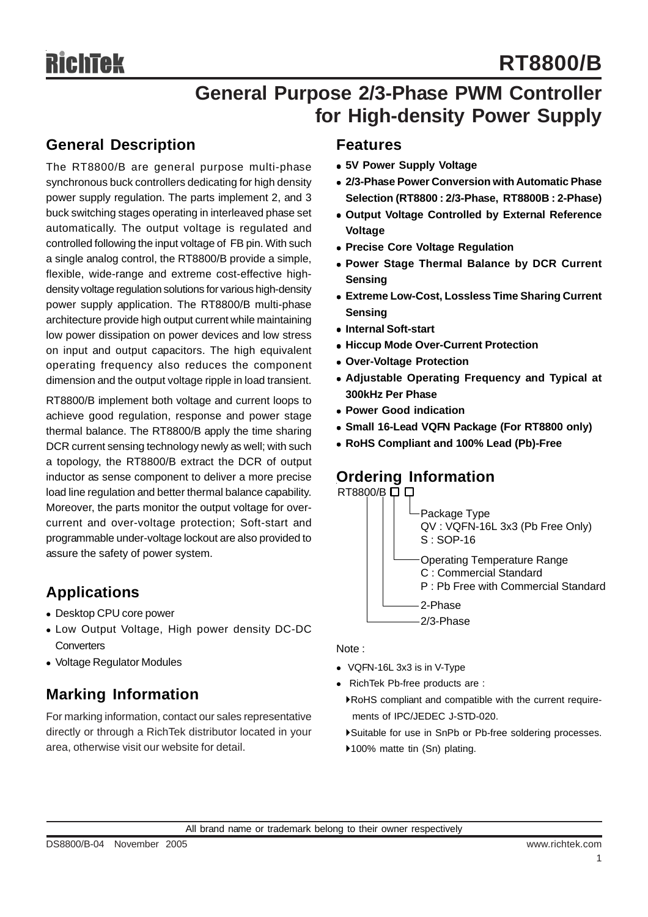## **General Purpose 2/3-Phase PWM Controller for High-density Power Supply**

### **General Description**

The RT8800/B are general purpose multi-phase synchronous buck controllers dedicating for high density power supply regulation. The parts implement 2, and 3 buck switching stages operating in interleaved phase set automatically. The output voltage is regulated and controlled following the input voltage of FB pin. With such a single analog control, the RT8800/B provide a simple, flexible, wide-range and extreme cost-effective highdensity voltage regulation solutions for various high-density power supply application. The RT8800/B multi-phase architecture provide high output current while maintaining low power dissipation on power devices and low stress on input and output capacitors. The high equivalent operating frequency also reduces the component dimension and the output voltage ripple in load transient.

RT8800/B implement both voltage and current loops to achieve good regulation, response and power stage thermal balance. The RT8800/B apply the time sharing DCR current sensing technology newly as well; with such a topology, the RT8800/B extract the DCR of output inductor as sense component to deliver a more precise load line regulation and better thermal balance capability. Moreover, the parts monitor the output voltage for overcurrent and over-voltage protection; Soft-start and programmable under-voltage lockout are also provided to assure the safety of power system.

## **Applications**

- Desktop CPU core power
- Low Output Voltage, High power density DC-DC **Converters**
- Voltage Regulator Modules

### **Marking Information**

For marking information, contact our sales representative directly or through a RichTek distributor located in your area, otherwise visit our website for detail.

### **Features**

- $\bullet$  **5V Power Supply Voltage**
- **2/3-Phase Power Conversion with Automatic Phase Selection (RT8800 : 2/3-Phase, RT8800B : 2-Phase)**
- **Output Voltage Controlled by External Reference Voltage**
- **Precise Core Voltage Regulation**
- **Power Stage Thermal Balance by DCR Current Sensing**
- **Extreme Low-Cost, Lossless Time Sharing Current Sensing**
- **Internal Soft-start**
- **Hiccup Mode Over-Current Protection**
- <sup>z</sup> **Over-Voltage Protection**
- **Adiustable Operating Frequency and Typical at 300kHz Per Phase**
- **Power Good indication**
- Small 16-Lead VQFN Package (For RT8800 only)
- <sup>z</sup> **RoHS Compliant and 100% Lead (Pb)-Free**

### **Ordering Information**



Note :

- $\bullet$  VQFN-16L 3x3 is in V-Type
- RichTek Pb-free products are :
- `RoHS compliant and compatible with the current require ments of IPC/JEDEC J-STD-020.
- `Suitable for use in SnPb or Pb-free soldering processes.
- ▶100% matte tin (Sn) plating.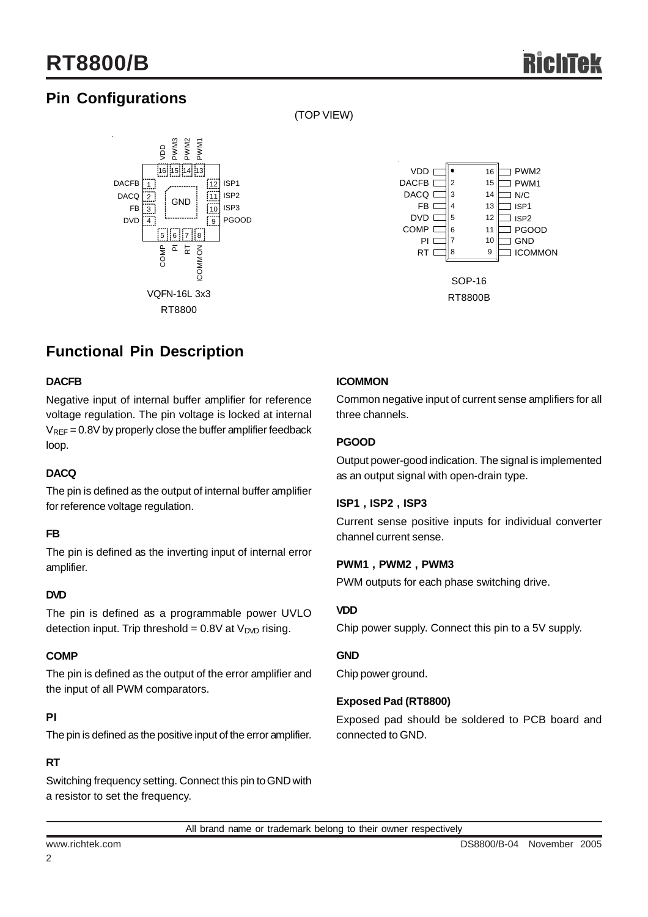## **Pin Configurations**



(TOP VIEW)



## **Functional Pin Description**

#### **DACFB**

Negative input of internal buffer amplifier for reference voltage regulation. The pin voltage is locked at internal  $V<sub>REF</sub> = 0.8V$  by properly close the buffer amplifier feedback loop.

#### **DACQ**

The pin is defined as the output of internal buffer amplifier for reference voltage regulation.

#### **FB**

The pin is defined as the inverting input of internal error amplifier.

#### **DVD**

The pin is defined as a programmable power UVLO detection input. Trip threshold =  $0.8V$  at  $V<sub>DVD</sub>$  rising.

#### **COMP**

The pin is defined as the output of the error amplifier and the input of all PWM comparators.

#### **PI**

The pin is defined as the positive input of the error amplifier.

#### **RT**

Switching frequency setting. Connect this pin to GND with a resistor to set the frequency.

#### **ICOMMON**

Common negative input of current sense amplifiers for all three channels.

#### **PGOOD**

Output power-good indication. The signal is implemented as an output signal with open-drain type.

#### **ISP1 , ISP2 , ISP3**

Current sense positive inputs for individual converter channel current sense.

#### **PWM1 , PWM2 , PWM3**

PWM outputs for each phase switching drive.

#### **VDD**

Chip power supply. Connect this pin to a 5V supply.

#### **GND**

Chip power ground.

#### **Exposed Pad (RT8800)**

Exposed pad should be soldered to PCB board and connected to GND.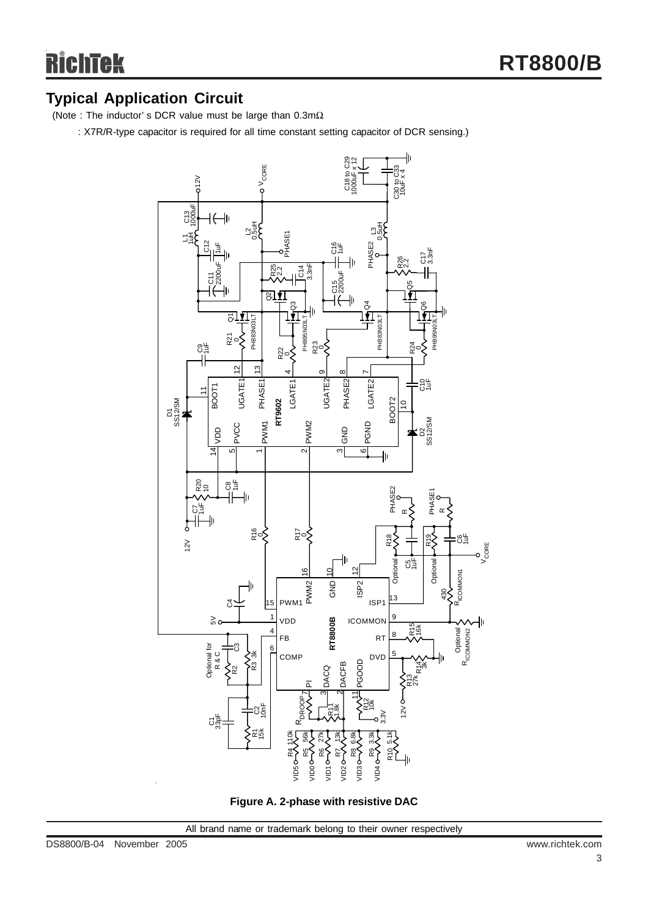### **Typical Application Circuit**

(Note : The inductor' s DCR value must be large than 0.3mΩ

: X7R/R-type capacitor is required for all time constant setting capacitor of DCR sensing.)



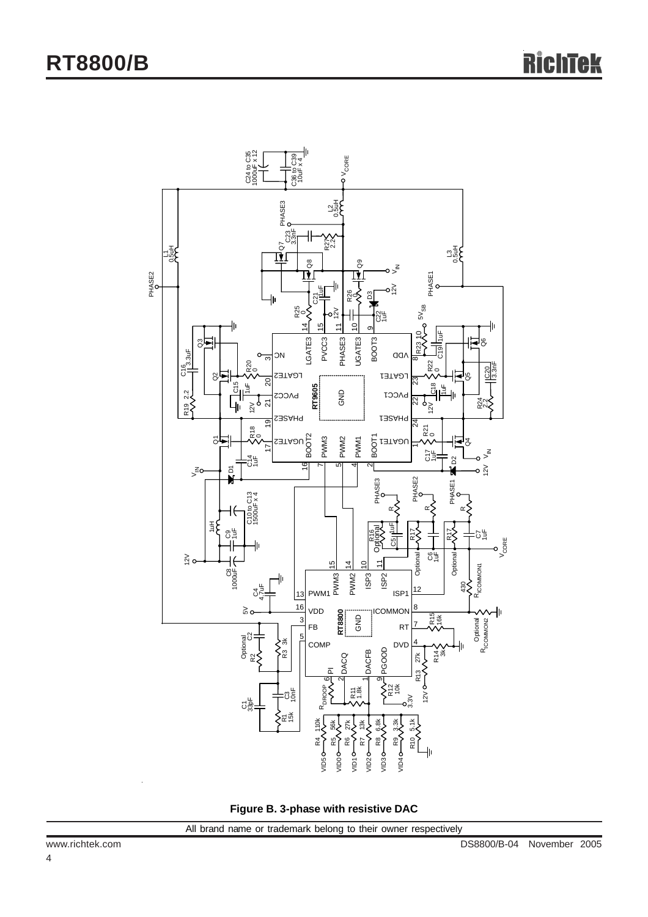

**Figure B. 3-phase with resistive DAC**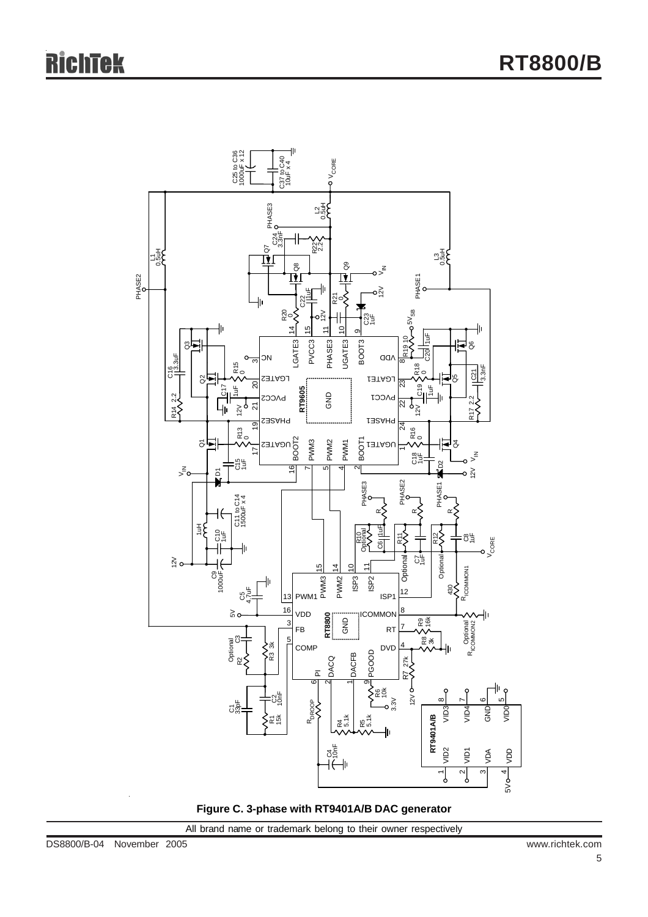

**Figure C. 3-phase with RT9401A/B DAC generator**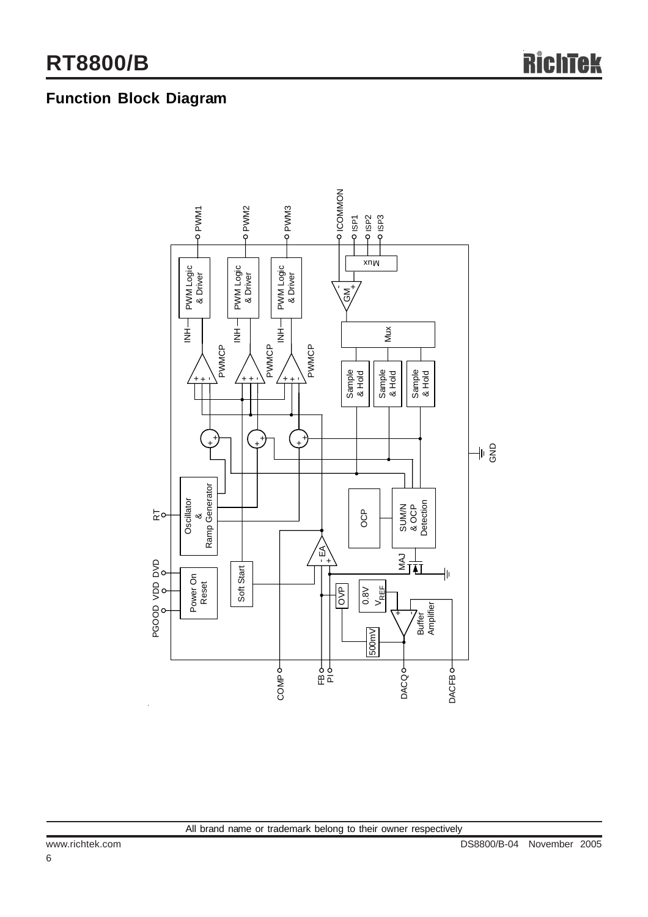## **Function Block Diagram**

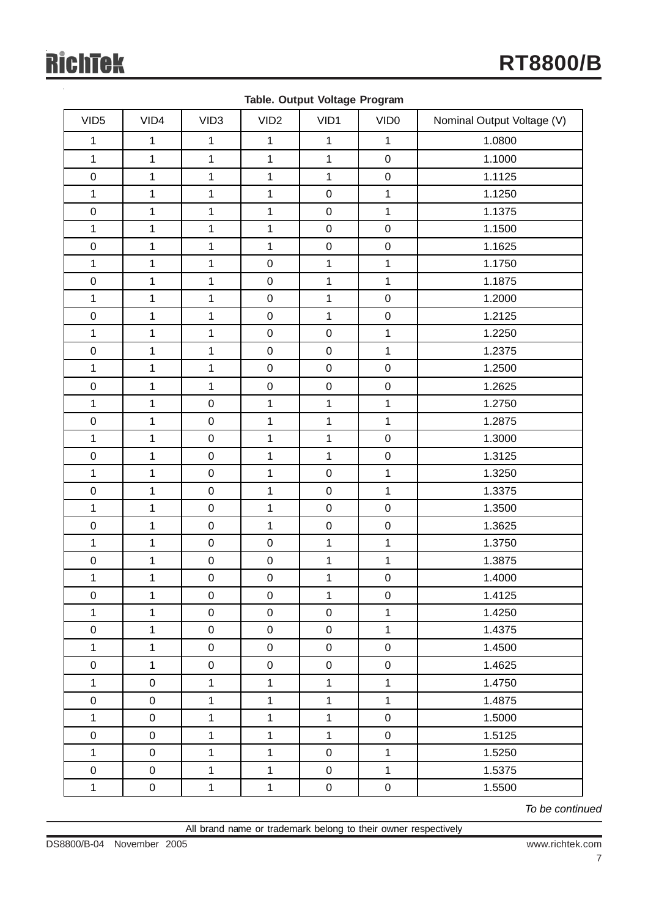|                  |                     |                  | ш.               | ∽            | ∽                   |                            |
|------------------|---------------------|------------------|------------------|--------------|---------------------|----------------------------|
| VID <sub>5</sub> | VID4                | VID <sub>3</sub> | VID <sub>2</sub> | VID1         | VID <sub>0</sub>    | Nominal Output Voltage (V) |
| $\mathbf{1}$     | $\mathbf{1}$        | $\mathbf{1}$     | $\mathbf{1}$     | $\mathbf{1}$ | $\mathbf{1}$        | 1.0800                     |
| $\mathbf{1}$     | $\mathbf{1}$        | $\mathbf{1}$     | $\mathbf{1}$     | $\mathbf{1}$ | $\mathsf{O}\xspace$ | 1.1000                     |
| $\pmb{0}$        | $\mathbf{1}$        | $\mathbf{1}$     | $\mathbf{1}$     | $\mathbf{1}$ | $\boldsymbol{0}$    | 1.1125                     |
| $\mathbf{1}$     | $\mathbf{1}$        | $\mathbf{1}$     | $\mathbf{1}$     | $\mathbf 0$  | $\mathbf{1}$        | 1.1250                     |
| $\pmb{0}$        | $\mathbf{1}$        | $\mathbf{1}$     | $\mathbf{1}$     | $\pmb{0}$    | $\mathbf{1}$        | 1.1375                     |
| $\mathbf{1}$     | $\mathbf{1}$        | $\mathbf{1}$     | $\mathbf{1}$     | $\mathbf 0$  | $\pmb{0}$           | 1.1500                     |
| $\pmb{0}$        | $\mathbf{1}$        | $\mathbf{1}$     | $\mathbf{1}$     | $\mathbf 0$  | $\mathbf 0$         | 1.1625                     |
| $\mathbf{1}$     | $\mathbf{1}$        | $\mathbf{1}$     | $\pmb{0}$        | $\mathbf{1}$ | $\mathbf{1}$        | 1.1750                     |
| $\pmb{0}$        | $\mathbf{1}$        | $\mathbf{1}$     | $\mathbf 0$      | $\mathbf{1}$ | $\mathbf{1}$        | 1.1875                     |
| $\mathbf{1}$     | $\mathbf{1}$        | $\mathbf{1}$     | $\mathsf 0$      | $\mathbf{1}$ | $\pmb{0}$           | 1.2000                     |
| $\pmb{0}$        | $\mathbf{1}$        | $\mathbf{1}$     | $\pmb{0}$        | $\mathbf{1}$ | $\pmb{0}$           | 1.2125                     |
| $\mathbf{1}$     | $\mathbf{1}$        | $\mathbf{1}$     | $\mathsf 0$      | $\mathbf 0$  | $\mathbf{1}$        | 1.2250                     |
| $\pmb{0}$        | $\mathbf{1}$        | $\mathbf 1$      | $\mathsf 0$      | $\mathbf 0$  | $\mathbf{1}$        | 1.2375                     |
| $\mathbf{1}$     | $\mathbf{1}$        | $\mathbf{1}$     | $\pmb{0}$        | $\pmb{0}$    | $\pmb{0}$           | 1.2500                     |
| $\pmb{0}$        | $\mathbf{1}$        | $\mathbf{1}$     | $\mathsf 0$      | $\mathsf 0$  | $\boldsymbol{0}$    | 1.2625                     |
| $\mathbf{1}$     | $\mathbf{1}$        | $\mathbf 0$      | $\mathbf{1}$     | $\mathbf{1}$ | $\mathbf{1}$        | 1.2750                     |
| $\pmb{0}$        | $\mathbf{1}$        | $\pmb{0}$        | $\mathbf{1}$     | $\mathbf{1}$ | $\mathbf{1}$        | 1.2875                     |
| $\mathbf{1}$     | $\mathbf{1}$        | $\mathbf 0$      | $\mathbf{1}$     | $\mathbf{1}$ | $\pmb{0}$           | 1.3000                     |
| $\pmb{0}$        | $\mathbf{1}$        | $\mathbf 0$      | $\mathbf{1}$     | $\mathbf{1}$ | $\boldsymbol{0}$    | 1.3125                     |
| $\mathbf{1}$     | $\mathbf{1}$        | $\pmb{0}$        | $\mathbf{1}$     | $\pmb{0}$    | $\mathbf{1}$        | 1.3250                     |
| $\pmb{0}$        | $\mathbf{1}$        | $\mathbf 0$      | $\mathbf{1}$     | $\mathbf 0$  | $\mathbf{1}$        | 1.3375                     |
| $\mathbf{1}$     | $\mathbf{1}$        | $\mathbf 0$      | $\mathbf{1}$     | $\mathbf 0$  | $\pmb{0}$           | 1.3500                     |
| $\pmb{0}$        | $\mathbf{1}$        | $\mathbf 0$      | $\mathbf{1}$     | $\mathbf 0$  | $\boldsymbol{0}$    | 1.3625                     |
| $\mathbf{1}$     | $\mathbf{1}$        | $\mathbf 0$      | $\mathbf 0$      | $\mathbf 1$  | $\mathbf{1}$        | 1.3750                     |
| $\pmb{0}$        | $\mathbf{1}$        | $\pmb{0}$        | $\mathsf 0$      | $\mathbf{1}$ | $\mathbf{1}$        | 1.3875                     |
| $\mathbf 1$      | $\mathbf{1}$        | $\pmb{0}$        | $\mathbf 0$      | $\mathbf 1$  | $\mathbf 0$         | 1.4000                     |
| $\mathbf 0$      | $\mathbf{1}$        | $\mathbf 0$      | $\mathbf 0$      | $\mathbf 1$  | $\mathsf 0$         | 1.4125                     |
| 1                | $\mathbf{1}$        | $\mathbf 0$      | $\mathbf 0$      | $\mathbf 0$  | $\mathbf{1}$        | 1.4250                     |
| $\pmb{0}$        | $\mathbf{1}$        | $\pmb{0}$        | $\pmb{0}$        | $\pmb{0}$    | $\mathbf{1}$        | 1.4375                     |
| $\mathbf 1$      | $\mathbf{1}$        | $\pmb{0}$        | $\boldsymbol{0}$ | $\pmb{0}$    | $\pmb{0}$           | 1.4500                     |
| $\pmb{0}$        | $\mathbf{1}$        | $\pmb{0}$        | $\pmb{0}$        | $\mathsf 0$  | $\pmb{0}$           | 1.4625                     |
| $\mathbf{1}$     | $\mathbf 0$         | $\mathbf{1}$     | $\mathbf{1}$     | $\mathbf{1}$ | $\mathbf{1}$        | 1.4750                     |
| $\pmb{0}$        | $\mathbf 0$         | $\mathbf{1}$     | $\mathbf{1}$     | $\mathbf{1}$ | $\mathbf{1}$        | 1.4875                     |
| $\mathbf{1}$     | $\boldsymbol{0}$    | $\mathbf{1}$     | $\mathbf{1}$     | $\mathbf{1}$ | $\pmb{0}$           | 1.5000                     |
| $\pmb{0}$        | $\mathsf{O}\xspace$ | $\mathbf{1}$     | $\mathbf{1}$     | $\mathbf{1}$ | $\mathsf 0$         | 1.5125                     |
| $\mathbf{1}$     | $\mathbf 0$         | $\mathbf{1}$     | $\mathbf{1}$     | $\pmb{0}$    | $\mathbf{1}$        | 1.5250                     |
| $\pmb{0}$        | $\mathbf 0$         | $\mathbf{1}$     | $\mathbf{1}$     | $\pmb{0}$    | $\mathbf{1}$        | 1.5375                     |
| $\mathbf 1$      | $\pmb{0}$           | $\mathbf{1}$     | $\mathbf 1$      | $\pmb{0}$    | $\boldsymbol{0}$    | 1.5500                     |

**Table. Output Voltage Program**

*To be continued*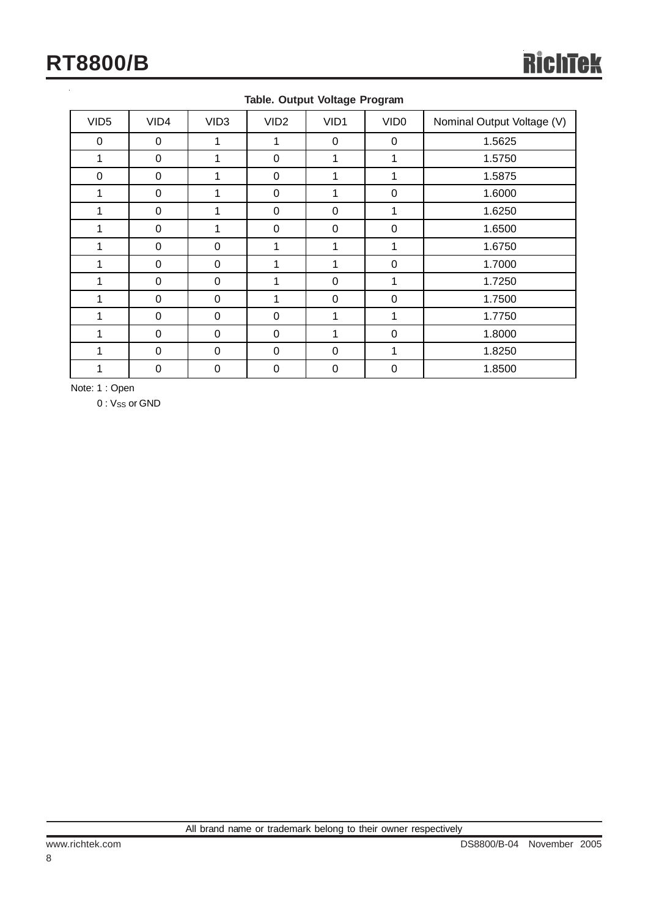| VID <sub>5</sub> | VID4             | VID <sub>3</sub> | VID <sub>2</sub> | VID1             | VID <sub>0</sub> | Nominal Output Voltage (V) |
|------------------|------------------|------------------|------------------|------------------|------------------|----------------------------|
| $\boldsymbol{0}$ | $\pmb{0}$        |                  |                  | 0                | $\mathbf 0$      | 1.5625                     |
| 1                | $\pmb{0}$        | 1                | $\pmb{0}$        | 1                | 1                | 1.5750                     |
| 0                | 0                | 1                | $\pmb{0}$        | 1                | 1                | 1.5875                     |
| 1                | 0                |                  | 0                |                  | 0                | 1.6000                     |
| 1                | $\mathbf 0$      | 1                | $\pmb{0}$        | 0                | 1                | 1.6250                     |
| 1                | 0                |                  | $\pmb{0}$        | 0                | $\pmb{0}$        | 1.6500                     |
| 1                | $\boldsymbol{0}$ | $\boldsymbol{0}$ | 1                | 1                | 1                | 1.6750                     |
| 1                | $\boldsymbol{0}$ | 0                | 1                | 1                | $\mathbf 0$      | 1.7000                     |
|                  | 0                | 0                |                  | 0                |                  | 1.7250                     |
| 1                | 0                | 0                | 1                | 0                | 0                | 1.7500                     |
| 1                | $\pmb{0}$        | 0                | $\pmb{0}$        | 1                | 1                | 1.7750                     |
| 1                | $\pmb{0}$        | $\mathbf 0$      | $\pmb{0}$        | 1                | $\mathbf 0$      | 1.8000                     |
| 1                | 0                | 0                | 0                | 0                | 1                | 1.8250                     |
|                  | 0                | $\pmb{0}$        | $\boldsymbol{0}$ | $\boldsymbol{0}$ | $\mathbf 0$      | 1.8500                     |

#### **Table. Output Voltage Program**

Note: 1 : Open

0 : V<sub>SS</sub> or GND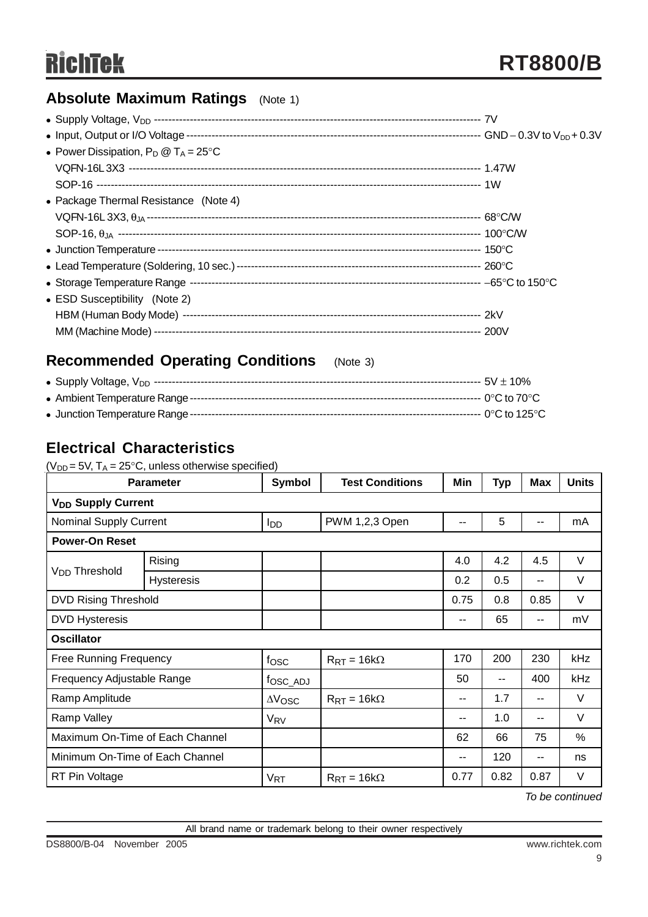### **Absolute Maximum Ratings** (Note 1)

| • Power Dissipation, $P_D @ T_A = 25^{\circ}C$ |  |
|------------------------------------------------|--|
|                                                |  |
|                                                |  |
| • Package Thermal Resistance (Note 4)          |  |
|                                                |  |
|                                                |  |
|                                                |  |
|                                                |  |
|                                                |  |
| • ESD Susceptibility (Note 2)                  |  |
|                                                |  |
|                                                |  |

### **Recommended Operating Conditions** (Note 3)

| • Supply Voltage,           |  |
|-----------------------------|--|
| . Ambiont Tomporature Dango |  |

### **Electrical Characteristics**

( $V_{DD}$  = 5V,  $T_A$  = 25°C, unless otherwise specified)

| <b>Parameter</b>                     |                   | Symbol                | <b>Test Conditions</b>      | Min   | <b>Typ</b> | Max  | <b>Units</b>  |  |
|--------------------------------------|-------------------|-----------------------|-----------------------------|-------|------------|------|---------------|--|
| <b>V<sub>DD</sub> Supply Current</b> |                   |                       |                             |       |            |      |               |  |
| <b>Nominal Supply Current</b>        |                   | l <sub>DD</sub>       | PWM 1,2,3 Open              | --    | 5          | --   | mA            |  |
| <b>Power-On Reset</b>                |                   |                       |                             |       |            |      |               |  |
|                                      | Rising            |                       |                             | 4.0   | 4.2        | 4.5  | V             |  |
| V <sub>DD</sub> Threshold            | <b>Hysteresis</b> |                       |                             | 0.2   | 0.5        | --   | V             |  |
| <b>DVD Rising Threshold</b>          |                   |                       |                             | 0.75  | 0.8        | 0.85 | V             |  |
| <b>DVD Hysteresis</b>                |                   |                       |                             | $- -$ | 65         | --   | mV            |  |
| <b>Oscillator</b>                    |                   |                       |                             |       |            |      |               |  |
| <b>Free Running Frequency</b>        |                   | fosc                  | $R_{\text{RT}} = 16k\Omega$ | 170   | 200        | 230  | kHz           |  |
| Frequency Adjustable Range           |                   | fosc_ADJ              |                             | 50    | --         | 400  | kHz           |  |
| Ramp Amplitude                       |                   | $\Delta V$ OSC        | $R_{\rm RT} = 16k\Omega$    | --    | 1.7        | --   | $\vee$        |  |
| Ramp Valley                          |                   | V <sub>RV</sub>       |                             | --    | 1.0        | --   | V             |  |
| Maximum On-Time of Each Channel      |                   |                       |                             | 62    | 66         | 75   | $\frac{0}{0}$ |  |
| Minimum On-Time of Each Channel      |                   |                       |                             | --    | 120        | --   | ns            |  |
| RT Pin Voltage                       |                   | <b>V<sub>RT</sub></b> | $R_{\text{RT}} = 16k\Omega$ | 0.77  | 0.82       | 0.87 | V             |  |

*To be continued*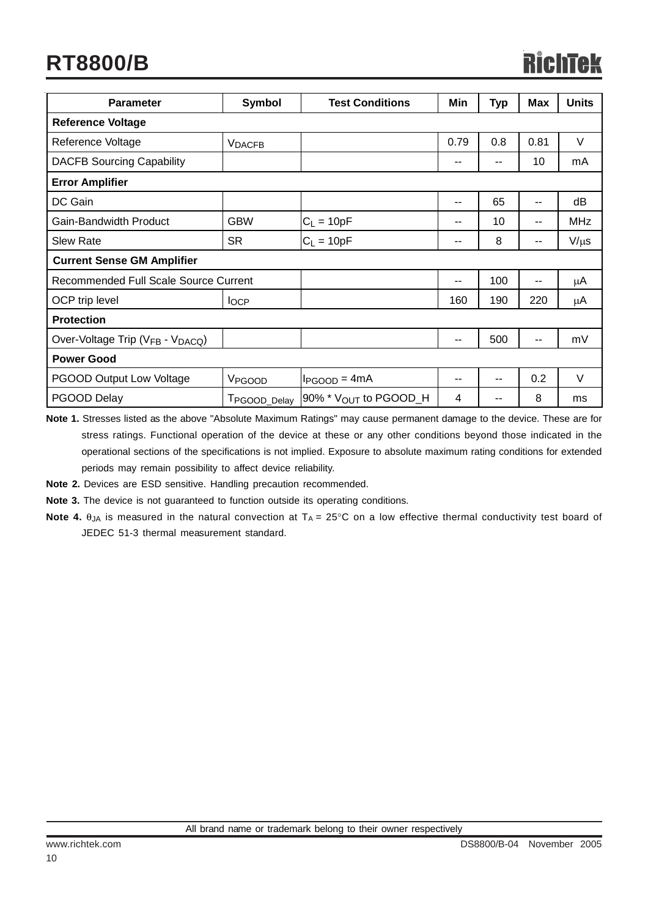| <b>Parameter</b>                      | <b>Symbol</b>             | <b>Test Conditions</b>            | Min                      | Typ   | <b>Max</b> | <b>Units</b> |
|---------------------------------------|---------------------------|-----------------------------------|--------------------------|-------|------------|--------------|
| <b>Reference Voltage</b>              |                           |                                   |                          |       |            |              |
| Reference Voltage                     | <b>VDACFB</b>             |                                   | 0.79                     | 0.8   | 0.81       | $\vee$       |
| <b>DACFB Sourcing Capability</b>      |                           |                                   | $\overline{\phantom{m}}$ | $- -$ | 10         | mA           |
| <b>Error Amplifier</b>                |                           |                                   |                          |       |            |              |
| DC Gain                               |                           |                                   | $\sim$ $\sim$            | 65    | --         | dB           |
| Gain-Bandwidth Product                | <b>GBW</b>                | $C_L = 10pF$                      | $\sim$ $\sim$            | 10    | --         | <b>MHz</b>   |
| <b>Slew Rate</b>                      | <b>SR</b>                 | $C_L = 10pF$                      | $- -$                    | 8     | --         | $V/\mu s$    |
| <b>Current Sense GM Amplifier</b>     |                           |                                   |                          |       |            |              |
| Recommended Full Scale Source Current |                           |                                   | --                       | 100   | --         | μA           |
| OCP trip level                        | $I_{OCP}$                 |                                   | 160                      | 190   | 220        | μA           |
| <b>Protection</b>                     |                           |                                   |                          |       |            |              |
| Over-Voltage Trip (VFB - VDACQ)       |                           |                                   | $-$                      | 500   | --         | mV           |
| <b>Power Good</b>                     |                           |                                   |                          |       |            |              |
| <b>PGOOD Output Low Voltage</b>       | V <sub>PGOOD</sub>        | $I_{PGOOD} = 4mA$                 | --                       | --    | 0.2        | $\vee$       |
| PGOOD Delay                           | T <sub>PGOOD</sub> _Delay | 90% * V <sub>OUT</sub> to PGOOD_H | 4                        | --    | 8          | ms           |

**Note 1.** Stresses listed as the above "Absolute Maximum Ratings" may cause permanent damage to the device. These are for stress ratings. Functional operation of the device at these or any other conditions beyond those indicated in the operational sections of the specifications is not implied. Exposure to absolute maximum rating conditions for extended periods may remain possibility to affect device reliability.

**Note 2.** Devices are ESD sensitive. Handling precaution recommended.

**Note 3.** The device is not guaranteed to function outside its operating conditions.

**Note 4.**  $\theta_{JA}$  is measured in the natural convection at  $T_A = 25^\circ \text{C}$  on a low effective thermal conductivity test board of JEDEC 51-3 thermal measurement standard.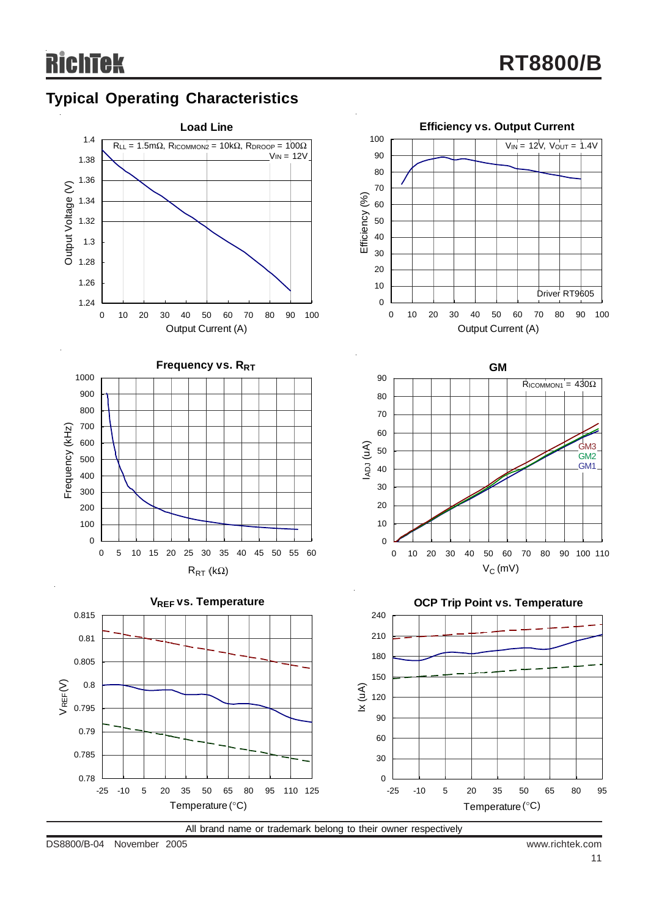## **Typical Operating Characteristics**



All brand name or trademark belong to their owner respectively

DS8800/B-04 November 2005 www.richtek.com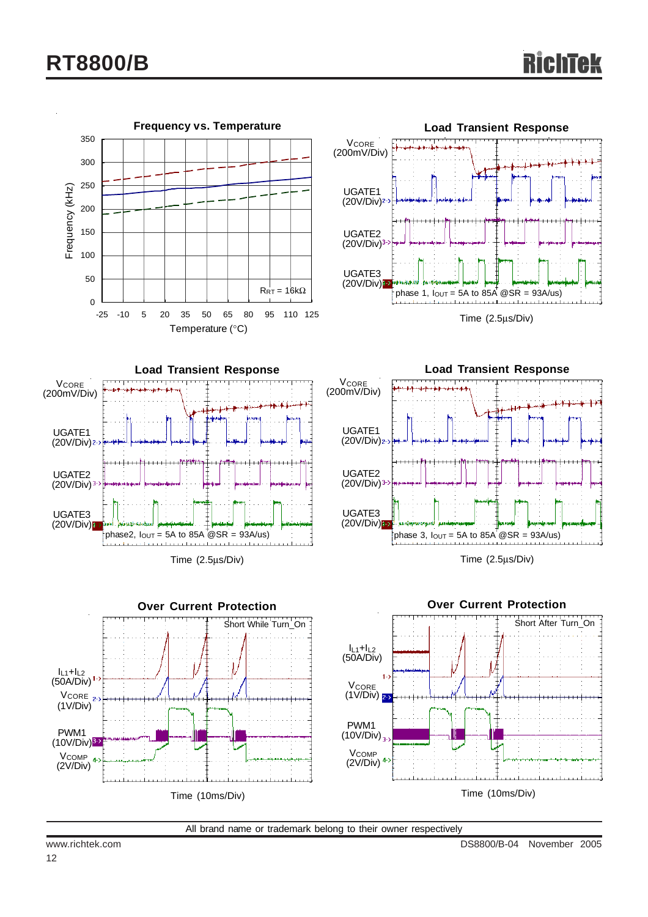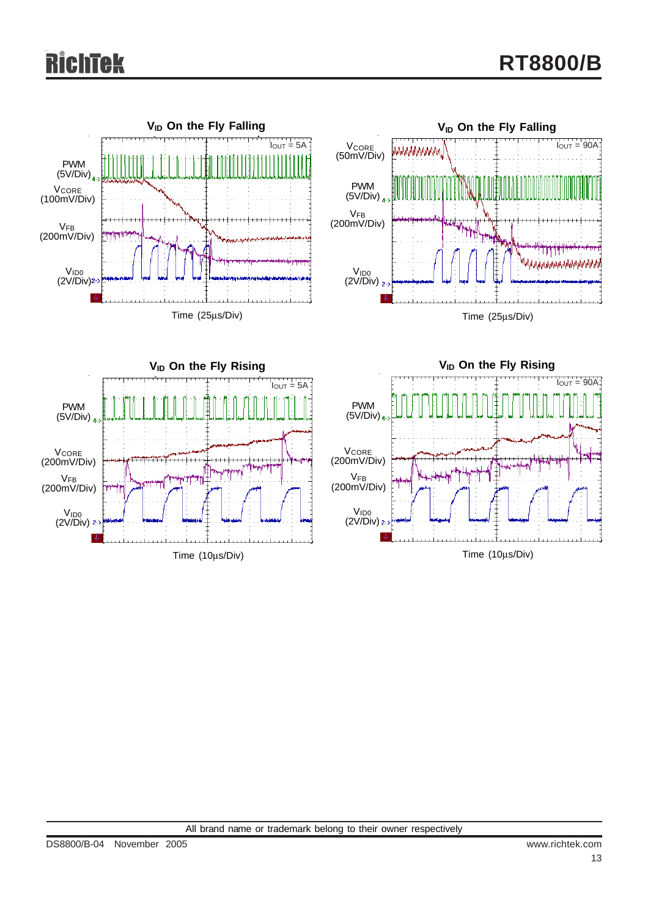# **Tek**

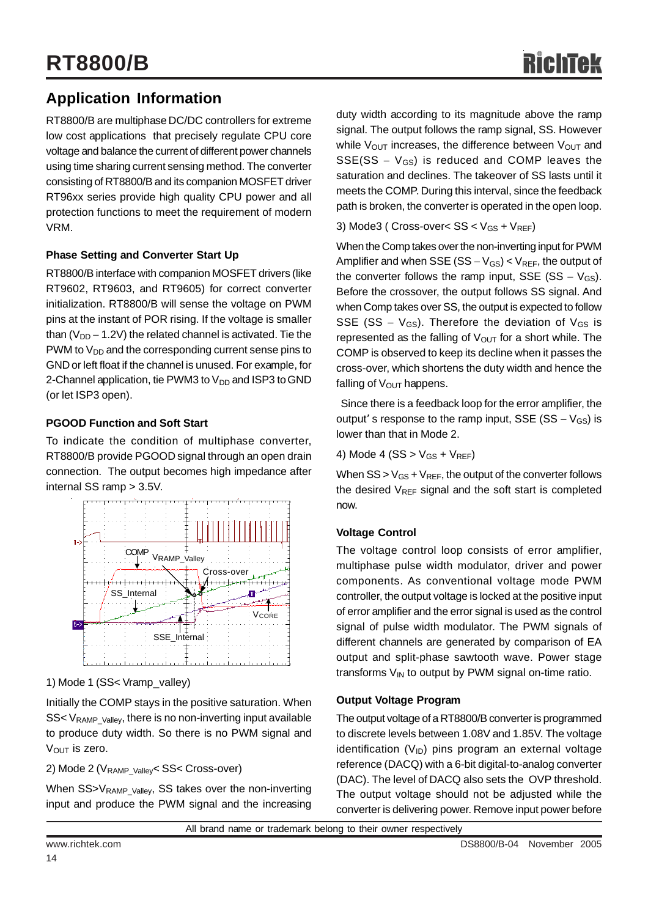### **Application Information**

RT8800/B are multiphase DC/DC controllers for extreme low cost applications that precisely regulate CPU core voltage and balance the current of different power channels using time sharing current sensing method. The converter consisting of RT8800/B and its companion MOSFET driver RT96xx series provide high quality CPU power and all protection functions to meet the requirement of modern VRM.

#### **Phase Setting and Converter Start Up**

RT8800/B interface with companion MOSFET drivers (like RT9602, RT9603, and RT9605) for correct converter initialization. RT8800/B will sense the voltage on PWM pins at the instant of POR rising. If the voltage is smaller than ( $V_{DD}$  – 1.2V) the related channel is activated. Tie the PWM to  $V_{DD}$  and the corresponding current sense pins to GND or left float if the channel is unused. For example, for 2-Channel application, tie PWM3 to  $V_{DD}$  and ISP3 to GND (or let ISP3 open).

#### **PGOOD Function and Soft Start**

To indicate the condition of multiphase converter, RT8800/B provide PGOOD signal through an open drain connection. The output becomes high impedance after internal SS ramp > 3.5V.



1) Mode 1 (SS< Vramp\_valley)

Initially the COMP stays in the positive saturation. When  $SS < V_{\text{RAMP~Vallev}}$ , there is no non-inverting input available to produce duty width. So there is no PWM signal and  $V<sub>OUT</sub>$  is zero.

2) Mode 2 (V<sub>RAMP\_Valley</sub> < SS< Cross-over)

When SS>V<sub>RAMP\_Valley</sub>, SS takes over the non-inverting input and produce the PWM signal and the increasing duty width according to its magnitude above the ramp signal. The output follows the ramp signal, SS. However while  $V_{\text{OUT}}$  increases, the difference between  $V_{\text{OUT}}$  and  $SSE(SS - V_{GS})$  is reduced and COMP leaves the saturation and declines. The takeover of SS lasts until it meets the COMP. During this interval, since the feedback path is broken, the converter is operated in the open loop.

3) Mode3 (  $Cross-over < SS < V_{GS} + V_{REF}$ )

When the Comp takes over the non-inverting input for PWM Amplifier and when SSE (SS –  $V_{GS}$ ) <  $V_{REF}$ , the output of the converter follows the ramp input, SSE (SS –  $V_{GS}$ ). Before the crossover, the output follows SS signal. And when Comp takes over SS, the output is expected to follow SSE (SS –  $V_{GS}$ ). Therefore the deviation of  $V_{GS}$  is represented as the falling of  $V_{\text{OUT}}$  for a short while. The COMP is observed to keep its decline when it passes the cross-over, which shortens the duty width and hence the falling of  $V_{\text{OUT}}$  happens.

 Since there is a feedback loop for the error amplifier, the output' s response to the ramp input, SSE (SS –  $V_{GS}$ ) is lower than that in Mode 2.

4) Mode 4 (SS  $>$  V<sub>GS</sub> + V<sub>REF</sub>)

When  $SS > V_{GS} + V_{REF}$ , the output of the converter follows the desired  $V_{REF}$  signal and the soft start is completed now.

#### **Voltage Control**

The voltage control loop consists of error amplifier, multiphase pulse width modulator, driver and power components. As conventional voltage mode PWM controller, the output voltage is locked at the positive input of error amplifier and the error signal is used as the control signal of pulse width modulator. The PWM signals of different channels are generated by comparison of EA output and split-phase sawtooth wave. Power stage transforms  $V_{IN}$  to output by PWM signal on-time ratio.

#### **Output Voltage Program**

The output voltage of a RT8800/B converter is programmed to discrete levels between 1.08V and 1.85V. The voltage identification  $(V_{ID})$  pins program an external voltage reference (DACQ) with a 6-bit digital-to-analog converter (DAC). The level of DACQ also sets the OVP threshold. The output voltage should not be adjusted while the converter is delivering power. Remove input power before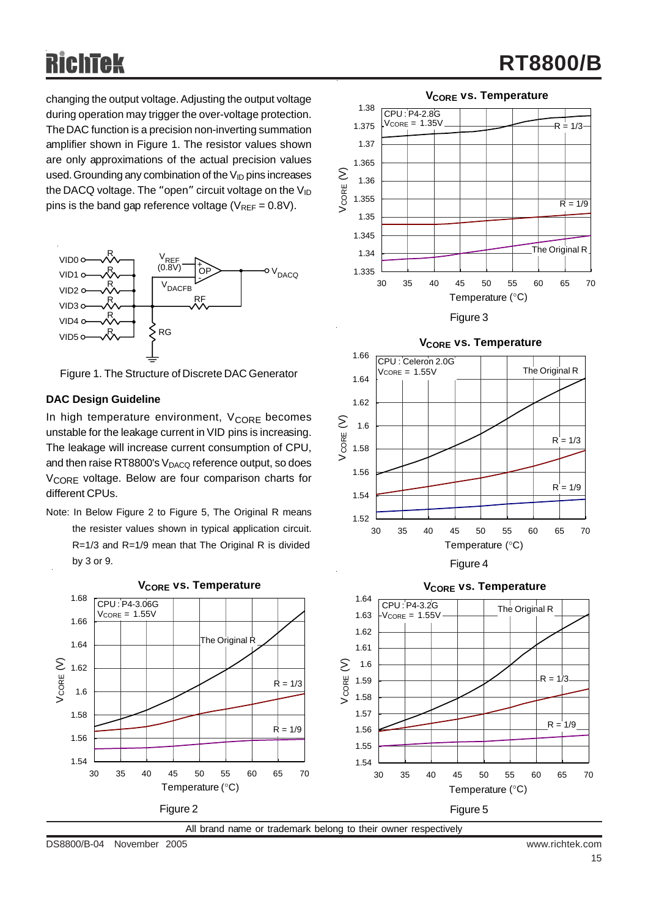changing the output voltage. Adjusting the output voltage during operation may trigger the over-voltage protection. The DAC function is a precision non-inverting summation amplifier shown in Figure 1. The resistor values shown are only approximations of the actual precision values used. Grounding any combination of the  $V_{\text{ID}}$  pins increases the DACQ voltage. The "open" circuit voltage on the  $V_{ID}$ pins is the band gap reference voltage ( $V_{REF} = 0.8V$ ).



Figure 1. The Structure of Discrete DAC Generator

#### **DAC Design Guideline**

In high temperature environment,  $V_{\text{CORE}}$  becomes unstable for the leakage current in VID pins is increasing. The leakage will increase current consumption of CPU, and then raise RT8800's  $V_{DACQ}$  reference output, so does V<sub>CORE</sub> voltage. Below are four comparison charts for different CPUs.

Note: In Below Figure 2 to Figure 5, The Original R means the resister values shown in typical application circuit. R=1/3 and R=1/9 mean that The Original R is divided by 3 or 9.



All brand name or trademark belong to their owner respectively

DS8800/B-04 November 2005 www.richtek.com





Figure 3



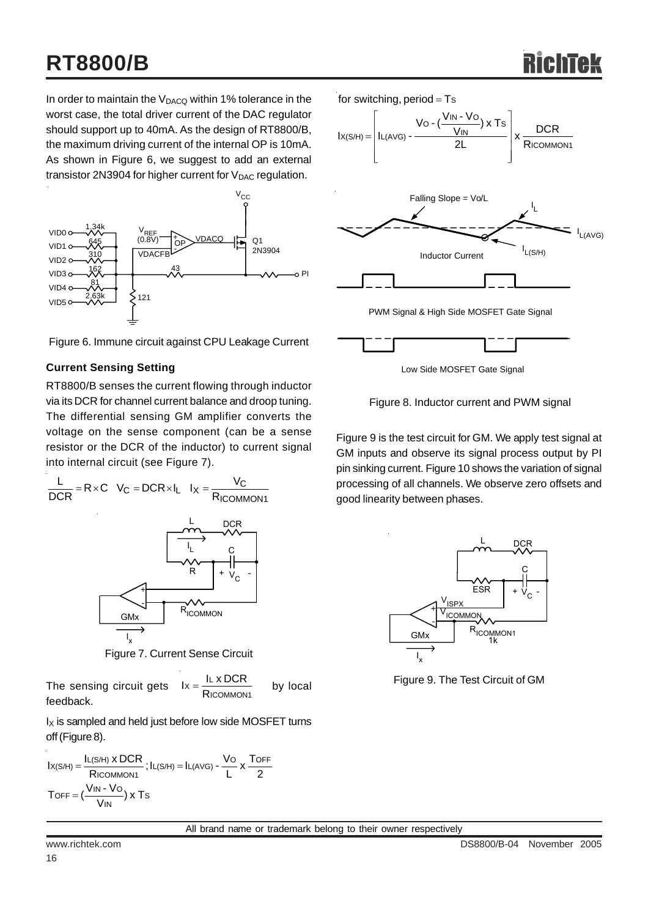In order to maintain the  $V_{DACQ}$  within 1% tolerance in the worst case, the total driver current of the DAC regulator should support up to 40mA. As the design of RT8800/B, the maximum driving current of the internal OP is 10mA. As shown in Figure 6, we suggest to add an external transistor 2N3904 for higher current for  $V_{DAC}$  regulation.



Figure 6. Immune circuit against CPU Leakage Current

#### **Current Sensing Setting**

RT8800/B senses the current flowing through inductor via its DCR for channel current balance and droop tuning. The differential sensing GM amplifier converts the voltage on the sense component (can be a sense resistor or the DCR of the inductor) to current signal into internal circuit (see Figure 7).



Figure 7. Current Sense Circuit

The sensing circuit gets 
$$
lx = \frac{I_L \times DCR}{Ricommon_1}
$$
 by local

 $I_X$  is sampled and held just before low side MOSFET turns off (Figure 8).

$$
I_{X(S/H)} = \frac{I_{L(S/H)} \times DCR}{Ricommon1}; I_{L(S/H)} = I_{L(AVG)} - \frac{V_{O}}{L} \times \frac{T_{OFF}}{2}
$$
  
Toff =  $(\frac{V_{IN} - V_{O}}{V_{IN}}) \times T_{S}$ 



Low Side MOSFET Gate Signal

Figure 8. Inductor current and PWM signal

Figure 9 is the test circuit for GM. We apply test signal at GM inputs and observe its signal process output by PI pin sinking current. Figure 10 shows the variation of signal processing of all channels. We observe zero offsets and good linearity between phases.



Figure 9. The Test Circuit of GM

All brand name or trademark belong to their owner respectively

feedback.

16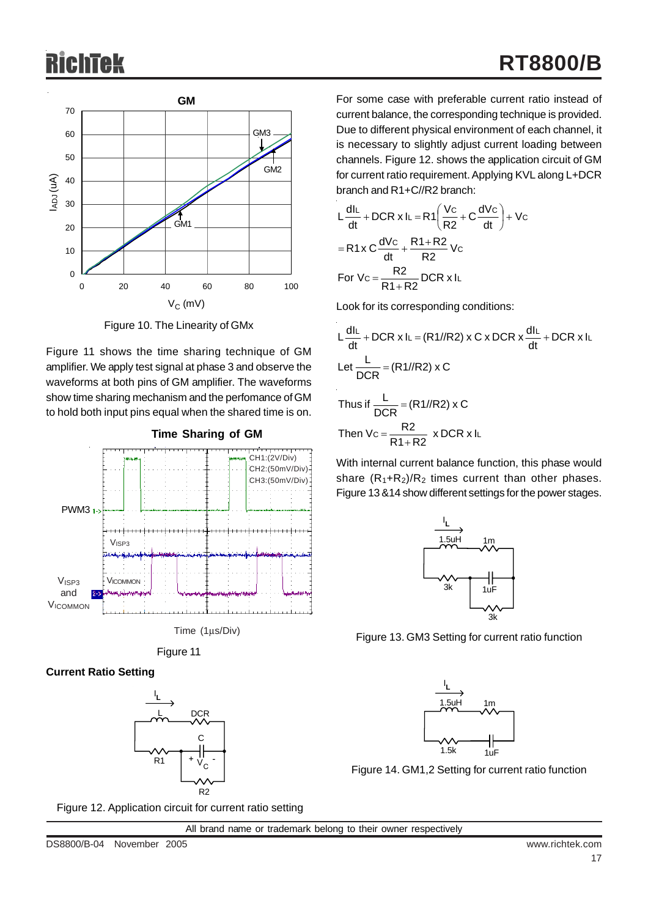

Figure 10. The Linearity of GMx

Figure 11 shows the time sharing technique of GM amplifier. We apply test signal at phase 3 and observe the waveforms at both pins of GM amplifier. The waveforms show time sharing mechanism and the perfomance of GM to hold both input pins equal when the shared time is on.







### **Current Ratio Setting**



For some case with preferable current ratio instead of current balance, the corresponding technique is provided. Due to different physical environment of each channel, it is necessary to slightly adjust current loading between channels. Figure 12. shows the application circuit of GM for current ratio requirement. Applying KVL along L+DCR branch and R1+C//R2 branch:

$$
L\frac{dI_L}{dt} + DCR \times I_L = R1 \left(\frac{Vc}{R2} + C\frac{dVc}{dt}\right) + Vc
$$
  
= R1x C  $\frac{dVc}{dt} + \frac{R1 + R2}{R2}Vc$   
For Vc =  $\frac{R2}{R1 + R2}$  DCR x IL

Look for its corresponding conditions:

$$
L\frac{dlL}{dt} + DCR \times IL = (R1//R2) \times C \times DCR \times \frac{dlL}{dt} + DCR \times IL
$$
  
Let 
$$
\frac{L}{DCR} = (R1//R2) \times C
$$
  
Thus if 
$$
\frac{L}{DCR} = (R1//R2) \times C
$$
  
Then 
$$
Vc = \frac{R2}{R1+R2} \times DCR \times IL
$$

With internal current balance function, this phase would share  $(R_1+R_2)/R_2$  times current than other phases. Figure 13 &14 show different settings for the power stages.



Figure 13. GM3 Setting for current ratio function



Figure 14. GM1,2 Setting for current ratio function

Figure 12. Application circuit for current ratio setting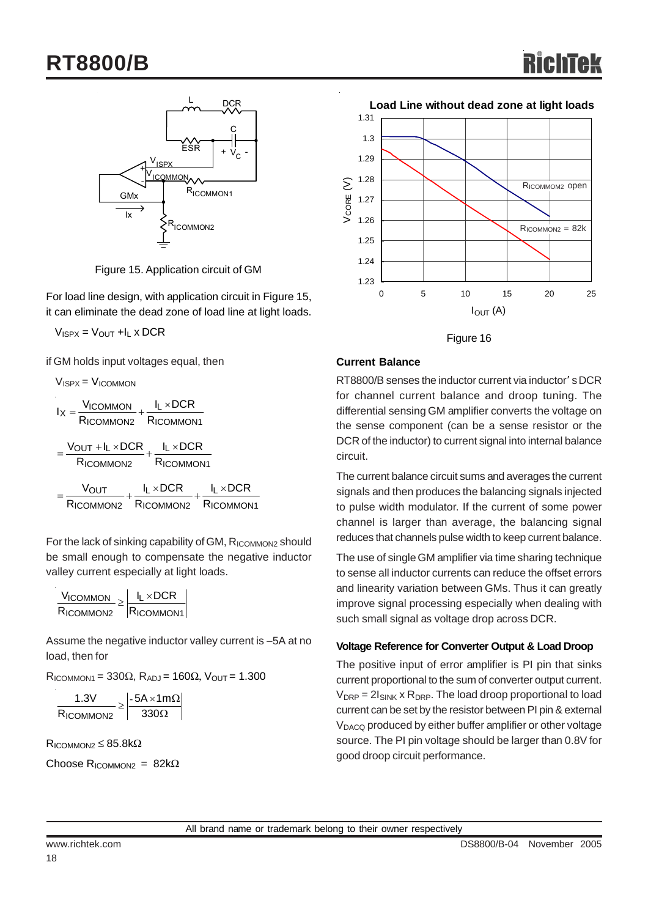

Figure 15. Application circuit of GM

For load line design, with application circuit in Figure 15, it can eliminate the dead zone of load line at light loads.

 $V_{ISPX} = V_{OUT} + I_L \times DCR$ 

if GM holds input voltages equal, then

$$
V_{ISPX} = V_{ICOMMON}
$$
\n
$$
I_X = \frac{V_{ICOMMON}}{R_{ICOMMON2}} + \frac{I_L \times DCR}{R_{ICOMMON1}}
$$
\n
$$
= \frac{V_{OUT} + I_L \times DCR}{R_{ICOMMON2}} + \frac{I_L \times DCR}{R_{ICOMMON1}}
$$
\n
$$
= \frac{V_{OUT}}{R_{ICOMMON2}} + \frac{I_L \times DCR}{R_{ICOMMON2}} + \frac{I_L \times DCR}{R_{ICOMMON1}}
$$

For the lack of sinking capability of GM, RICOMMON2 should be small enough to compensate the negative inductor valley current especially at light loads.

| $V_{ICOMMON}$ $\Box$ | $I_I \times DCR$ |
|----------------------|------------------|
| RICOMMON2            | $R_{ICOMMON1}$   |

Assume the negative inductor valley current is −5A at no load, then for

 $R_{\text{ICOMMON1}} = 330\Omega$ ,  $R_{\text{ADJ}} = 160\Omega$ ,  $V_{\text{OUT}} = 1.300$ 

$$
\frac{1.3V}{R_{ICOMMON2}} \ge \left| \frac{-5A \times 1m\Omega}{330\Omega} \right|
$$

 $R_{\text{ICOMMON2}} \leq 85.8 \text{k}\Omega$ 

Choose R<sub>ICOMMON2</sub> =  $82k\Omega$ 



Figure 16

#### **Current Balance**

RT8800/B senses the inductor current via inductor' s DCR for channel current balance and droop tuning. The differential sensing GM amplifier converts the voltage on the sense component (can be a sense resistor or the DCR of the inductor) to current signal into internal balance circuit.

The current balance circuit sums and averages the current signals and then produces the balancing signals injected to pulse width modulator. If the current of some power channel is larger than average, the balancing signal reduces that channels pulse width to keep current balance.

The use of single GM amplifier via time sharing technique to sense all inductor currents can reduce the offset errors and linearity variation between GMs. Thus it can greatly improve signal processing especially when dealing with such small signal as voltage drop across DCR.

#### **Voltage Reference for Converter Output & Load Droop**

The positive input of error amplifier is PI pin that sinks current proportional to the sum of converter output current.  $V_{DRP} = 2I_{SINK} \times R_{DRP}$ . The load droop proportional to load current can be set by the resistor between PI pin & external V<sub>DACQ</sub> produced by either buffer amplifier or other voltage source. The PI pin voltage should be larger than 0.8V for good droop circuit performance.

All brand name or trademark belong to their owner respectively

18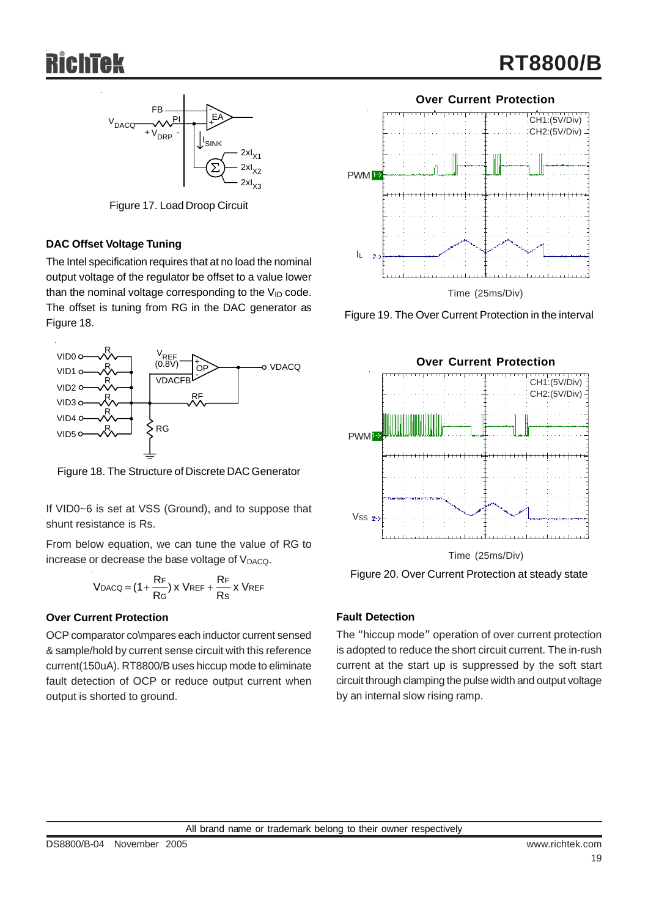

Figure 17. Load Droop Circuit

#### **DAC Offset Voltage Tuning**

The Intel specification requires that at no load the nominal output voltage of the regulator be offset to a value lower than the nominal voltage corresponding to the  $V_{ID}$  code. The offset is tuning from RG in the DAC generator as Figure 18.



Figure 18. The Structure of Discrete DAC Generator

If VID0~6 is set at VSS (Ground), and to suppose that shunt resistance is Rs.

From below equation, we can tune the value of RG to increase or decrease the base voltage of V<sub>DACQ</sub>.

$$
V_{DACQ} = (1 + \frac{R_F}{R_G}) x V_{REF} + \frac{R_F}{Rs} x V_{REF}
$$

#### **Over Current Protection**

OCP comparator co\mpares each inductor current sensed & sample/hold by current sense circuit with this reference current(150uA). RT8800/B uses hiccup mode to eliminate fault detection of OCP or reduce output current when output is shorted to ground.



Figure 19. The Over Current Protection in the interval



Figure 20. Over Current Protection at steady state

#### **Fault Detection**

The "hiccup mode" operation of over current protection is adopted to reduce the short circuit current. The in-rush current at the start up is suppressed by the soft start circuit through clamping the pulse width and output voltage by an internal slow rising ramp.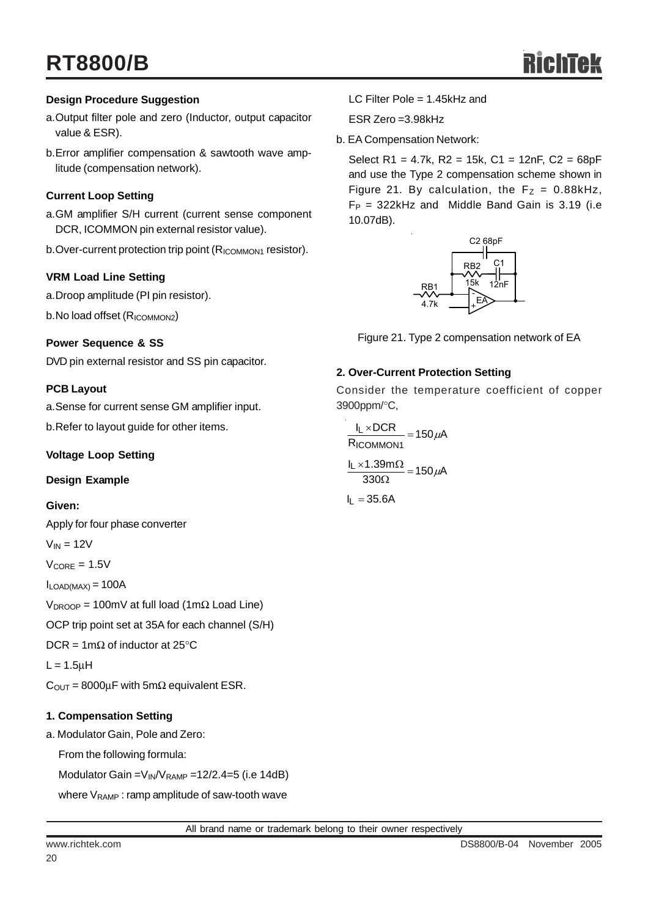#### **Design Procedure Suggestion**

- a.Output filter pole and zero (Inductor, output capacitor value & ESR).
- b.Error amplifier compensation & sawtooth wave amplitude (compensation network).

#### **Current Loop Setting**

- a.GM amplifier S/H current (current sense component DCR, ICOMMON pin external resistor value).
- b.Over-current protection trip point (R<sub>ICOMMON1</sub> resistor).

#### **VRM Load Line Setting**

a.Droop amplitude (PI pin resistor).

b.No load offset (R<sub>ICOMMON2</sub>)

#### **Power Sequence & SS**

DVD pin external resistor and SS pin capacitor.

#### **PCB Layout**

a.Sense for current sense GM amplifier input.

b.Refer to layout guide for other items.

#### **Voltage Loop Setting**

#### **Design Example**

#### **Given:**

Apply for four phase converter

 $V_{IN} = 12V$ 

 $V_{\text{CORE}} = 1.5V$ 

 $I_{LOAD(MAX)} = 100A$ 

V<sub>DROOP</sub> = 100mV at full load (1mΩ Load Line)

OCP trip point set at 35A for each channel (S/H)

DCR = 1m $\Omega$  of inductor at 25°C

 $L = 1.5$ μH

 $C<sub>OUT</sub> = 8000\mu F$  with 5m $\Omega$  equivalent ESR.

#### **1. Compensation Setting**

a. Modulator Gain, Pole and Zero:

From the following formula:

Modulator Gain =  $V_{IN}/V_{RAMP}$  = 12/2.4=5 (i.e 14dB)

where  $V_{\text{RAMP}}$ : ramp amplitude of saw-tooth wave

LC Filter Pole = 1.45kHz and

ESR Zero =3.98kHz

b. EA Compensation Network:

Select R1 = 4.7k, R2 = 15k, C1 = 12nF, C2 = 68pF and use the Type 2 compensation scheme shown in Figure 21. By calculation, the  $F_Z = 0.88kHz$ ,  $F_P = 322$ kHz and Middle Band Gain is 3.19 (i.e 10.07dB).



Figure 21. Type 2 compensation network of EA

#### **2. Over-Current Protection Setting**

Consider the temperature coefficient of copper 3900ppm/°C,

 $\frac{155.00 \text{ m/s}^2}{330 \Omega} = 150 \mu\text{A}$  $\frac{I_L \times 1.39 \text{m}\Omega}{330 \Omega} = 150 \mu \text{m}$  $\frac{12 \times 60 \times 1}{R_{\text{ICOMMON1}}}$  = 150  $\mu$ A l<sub>L</sub> ×DCR ICOMMON1  $\frac{L \times DCR}{L} = 150 \mu$ 

 $I_L = 35.6A$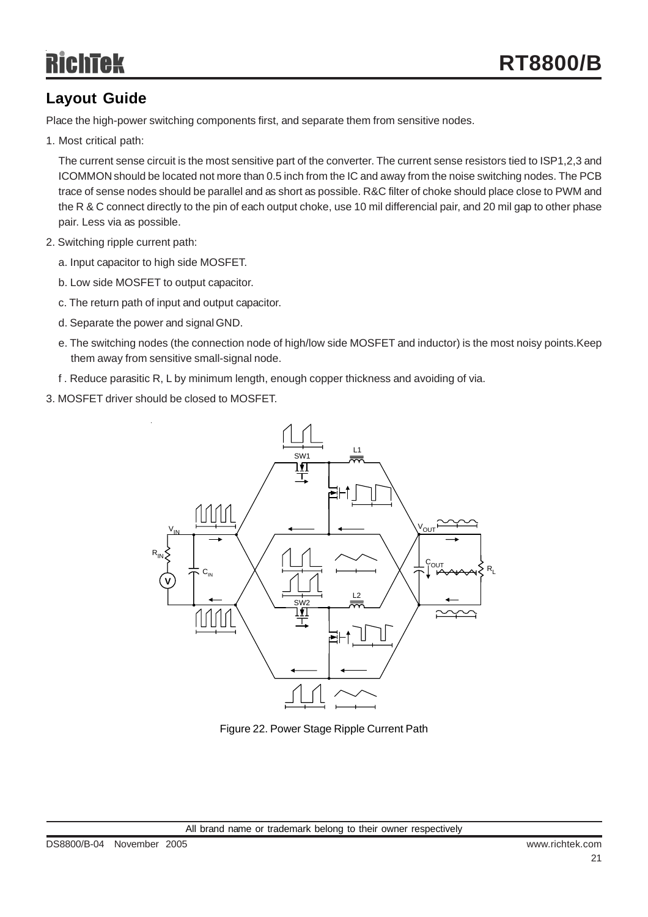## **Layout Guide**

Place the high-power switching components first, and separate them from sensitive nodes.

1. Most critical path:

The current sense circuit is the most sensitive part of the converter. The current sense resistors tied to ISP1,2,3 and ICOMMON should be located not more than 0.5 inch from the IC and away from the noise switching nodes. The PCB trace of sense nodes should be parallel and as short as possible. R&C filter of choke should place close to PWM and the R & C connect directly to the pin of each output choke, use 10 mil differencial pair, and 20 mil gap to other phase pair. Less via as possible.

- 2. Switching ripple current path:
	- a. Input capacitor to high side MOSFET.
	- b. Low side MOSFET to output capacitor.
	- c. The return path of input and output capacitor.
	- d. Separate the power and signal GND.
	- e. The switching nodes (the connection node of high/low side MOSFET and inductor) is the most noisy points.Keep them away from sensitive small-signal node.
	- f . Reduce parasitic R, L by minimum length, enough copper thickness and avoiding of via.
- 3. MOSFET driver should be closed to MOSFET.



Figure 22. Power Stage Ripple Current Path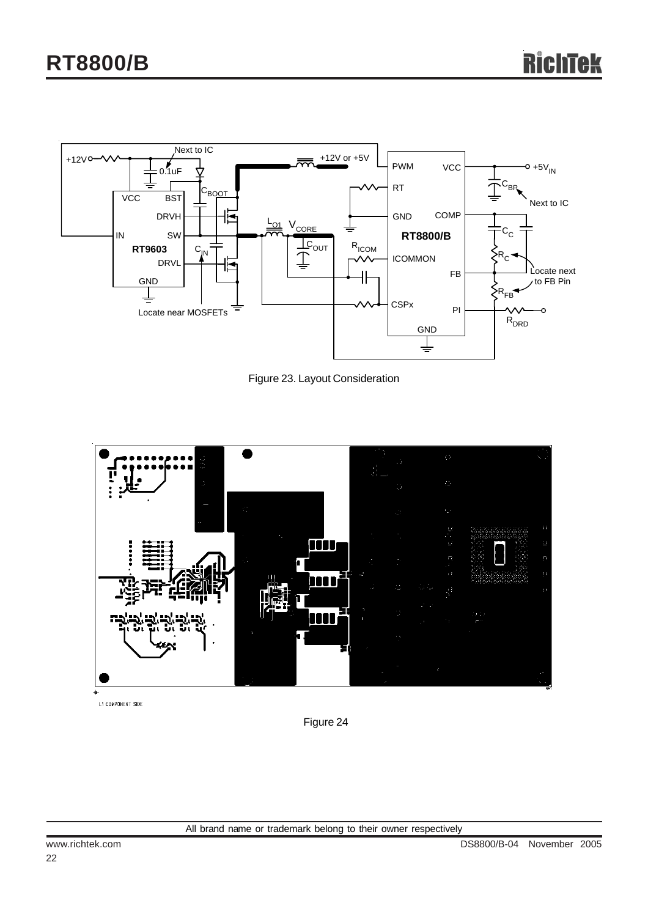

Figure 23. Layout Consideration



L1 COMPONENT SIDE

Figure 24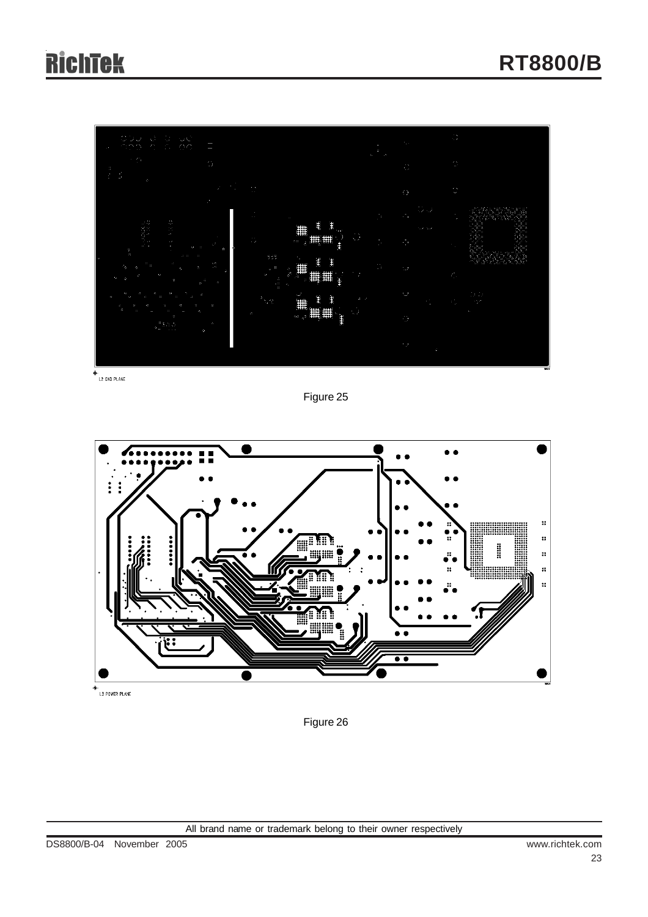# **RichTek**



 $+$ <br>L2 GND PLANE

Figure 25



 $+$ <br>L3 POWER PLANE

Figure 26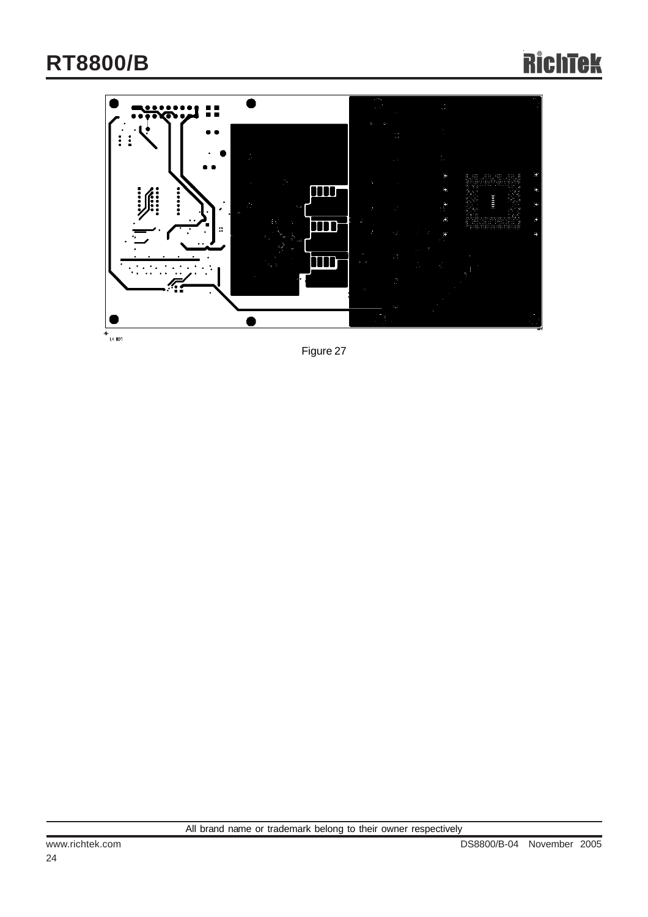

Figure 27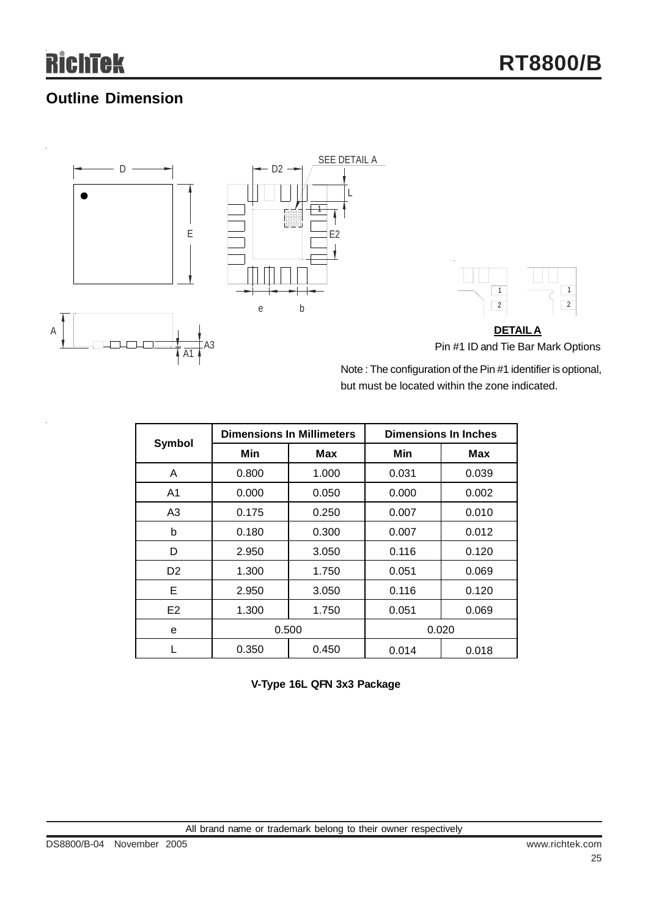## **Outline Dimension**







Note : The configuration of the Pin #1 identifier is optional, but must be located within the zone indicated.

|                |       | <b>Dimensions In Millimeters</b> | <b>Dimensions In Inches</b> |       |  |
|----------------|-------|----------------------------------|-----------------------------|-------|--|
| Symbol         | Min   | Max                              | Min                         | Max   |  |
| A              | 0.800 | 1.000                            | 0.031                       | 0.039 |  |
| A <sub>1</sub> | 0.000 | 0.050                            | 0.000                       | 0.002 |  |
| A <sub>3</sub> | 0.175 | 0.250                            | 0.007                       | 0.010 |  |
| b              | 0.180 | 0.300                            | 0.007                       | 0.012 |  |
| D              | 2.950 | 3.050                            | 0.116                       | 0.120 |  |
| D <sub>2</sub> | 1.300 | 1.750                            | 0.051                       | 0.069 |  |
| Е              | 2.950 | 3.050                            | 0.116                       | 0.120 |  |
| E <sub>2</sub> | 1.300 | 1.750                            | 0.051                       | 0.069 |  |
| e              | 0.500 |                                  |                             | 0.020 |  |
|                | 0.350 | 0.450                            | 0.014                       | 0.018 |  |

**V-Type 16L QFN 3x3 Package**